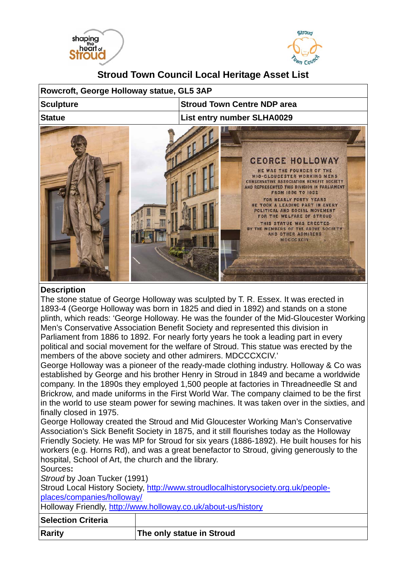



## **Stroud Town Council Local Heritage Asset List**

| Rowcroft, George Holloway statue, GL5 3AP |                                                                                                                                                                                                                                                                                                                                                                                                                                                                |
|-------------------------------------------|----------------------------------------------------------------------------------------------------------------------------------------------------------------------------------------------------------------------------------------------------------------------------------------------------------------------------------------------------------------------------------------------------------------------------------------------------------------|
| <b>Sculpture</b>                          | <b>Stroud Town Centre NDP area</b>                                                                                                                                                                                                                                                                                                                                                                                                                             |
| <b>Statue</b>                             | <b>List entry number SLHA0029</b>                                                                                                                                                                                                                                                                                                                                                                                                                              |
|                                           | <b>GEORGE HOLLOWAY</b><br>HE WAS THE FOUNDER OF THE<br><b>MID-GLOUCESTER WORKING MENS</b><br><b>CONSERVATIVE ASSOCIATION BENEFIT SOCIETY</b><br>AND REPRESENTED THIS DIVISION IN PARLIAMENT<br><b>FROM 1886 TO 1892</b><br>FOR NEARLY FORTY YEARS<br>HE TOOK A LEADING PART IN EVERY<br>POLITICAL AND SOCIAL MOVEMENT<br>FOR THE WELFARE OF STROUD<br>THIS STATUE WAS ERECTED<br>BY THE MEMBERS OF THE ABOVE SOCIETY<br>AND OTHER ADMIRERS<br><b>MDCCCXCIV</b> |

## **Description**

The stone statue of George Holloway was sculpted by T. R. Essex. It was erected in 1893-4 (George Holloway was born in 1825 and died in 1892) and stands on a stone plinth, which reads: 'George Holloway. He was the founder of the Mid-Gloucester Working Men's Conservative Association Benefit Society and represented this division in Parliament from 1886 to 1892. For nearly forty years he took a leading part in every political and social movement for the welfare of Stroud. This statue was erected by the members of the above society and other admirers. MDCCCXCIV.'

George Holloway was a pioneer of the ready-made clothing industry. Holloway & Co was established by George and his brother Henry in Stroud in 1849 and became a worldwide company. In the 1890s they employed 1,500 people at factories in Threadneedle St and Brickrow, and made uniforms in the First World War. The company claimed to be the first in the world to use steam power for sewing machines. It was taken over in the sixties, and finally closed in 1975.

George Holloway created the Stroud and Mid Gloucester Working Man's Conservative Association's Sick Benefit Society in 1875, and it still flourishes today as the Holloway Friendly Society. He was MP for Stroud for six years (1886-1892). He built houses for his workers (e.g. Horns Rd), and was a great benefactor to Stroud, giving generously to the hospital, School of Art, the church and the library.

Sources**:** 

*Stroud* by Joan Tucker (1991)

Stroud Local History Society, http://www.stroudlocalhistorysociety.org.uk/peopleplaces/companies/holloway/

Holloway Friendly, http://www.holloway.co.uk/about-us/history

## **Selection Criteria Rarity The only statue in Stroud**